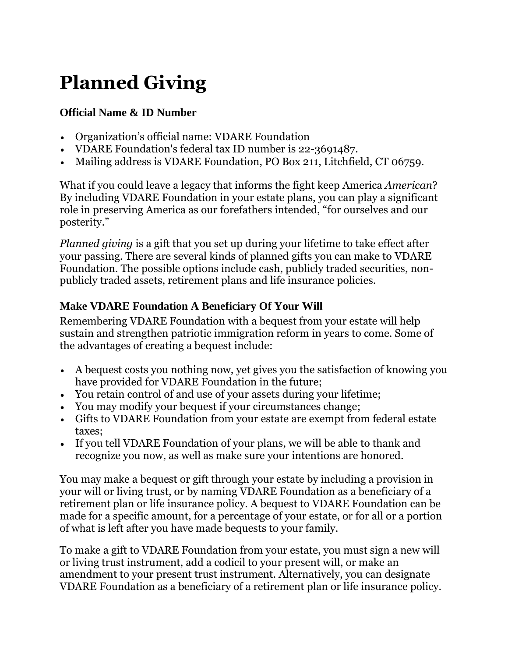# **Planned Giving**

#### **Official Name & ID Number**

- Organization's official name: VDARE Foundation
- VDARE Foundation's federal tax ID number is 22-3691487.
- Mailing address is VDARE Foundation, PO Box 211, Litchfield, CT 06759.

What if you could leave a legacy that informs the fight keep America *American*? By including VDARE Foundation in your estate plans, you can play a significant role in preserving America as our forefathers intended, "for ourselves and our posterity."

*Planned giving* is a gift that you set up during your lifetime to take effect after your passing. There are several kinds of planned gifts you can make to VDARE Foundation. The possible options include cash, publicly traded securities, nonpublicly traded assets, retirement plans and life insurance policies.

## **Make VDARE Foundation A Beneficiary Of Your Will**

Remembering VDARE Foundation with a bequest from your estate will help sustain and strengthen patriotic immigration reform in years to come. Some of the advantages of creating a bequest include:

- A bequest costs you nothing now, yet gives you the satisfaction of knowing you have provided for VDARE Foundation in the future;
- You retain control of and use of your assets during your lifetime;
- You may modify your bequest if your circumstances change;
- Gifts to VDARE Foundation from your estate are exempt from federal estate taxes;
- If you tell VDARE Foundation of your plans, we will be able to thank and recognize you now, as well as make sure your intentions are honored.

You may make a bequest or gift through your estate by including a provision in your will or living trust, or by naming VDARE Foundation as a beneficiary of a retirement plan or life insurance policy. A bequest to VDARE Foundation can be made for a specific amount, for a percentage of your estate, or for all or a portion of what is left after you have made bequests to your family.

To make a gift to VDARE Foundation from your estate, you must sign a new will or living trust instrument, add a codicil to your present will, or make an amendment to your present trust instrument. Alternatively, you can designate VDARE Foundation as a beneficiary of a retirement plan or life insurance policy.